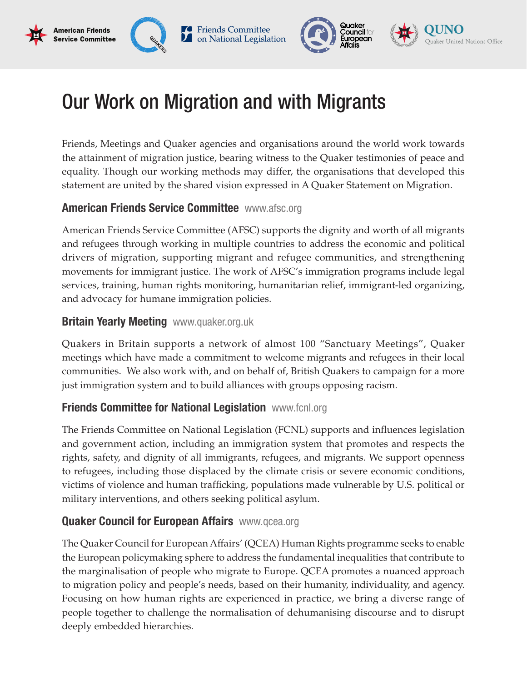# Our Work on Migration and with Migrants

**C** Friends Committee

on National Legislation

Friends, Meetings and Quaker agencies and organisations around the world work towards the attainment of migration justice, bearing witness to the Quaker testimonies of peace and equality. Though our working methods may differ, the organisations that developed this statement are united by the shared vision expressed in A Quaker Statement on Migration.

Quaker

**Council form** 

European

ker United Nations Office

## **American Friends Service Committee WWW.afsc.org**

American Friends Service Committee (AFSC) supports the dignity and worth of all migrants and refugees through working in multiple countries to address the economic and political drivers of migration, supporting migrant and refugee communities, and strengthening movements for immigrant justice. The work of AFSC's immigration programs include legal services, training, human rights monitoring, humanitarian relief, immigrant-led organizing, and advocacy for humane immigration policies.

## **Britain Yearly Meeting** www.quaker.org.uk

**American Friends** 

Service Committee

Quakers in Britain supports a network of almost 100 "Sanctuary Meetings", Quaker meetings which have made a commitment to welcome migrants and refugees in their local communities. We also work with, and on behalf of, British Quakers to campaign for a more just immigration system and to build alliances with groups opposing racism.

#### **Friends Committee for National Legislation www.fcnl.org**

The Friends Committee on National Legislation (FCNL) supports and influences legislation and government action, including an immigration system that promotes and respects the rights, safety, and dignity of all immigrants, refugees, and migrants. We support openness to refugees, including those displaced by the climate crisis or severe economic conditions, victims of violence and human trafficking, populations made vulnerable by U.S. political or military interventions, and others seeking political asylum.

## **Quaker Council for European Affairs** www.qcea.org

The Quaker Council for European Affairs' (QCEA) Human Rights programme seeks to enable the European policymaking sphere to address the fundamental inequalities that contribute to the marginalisation of people who migrate to Europe. QCEA promotes a nuanced approach to migration policy and people's needs, based on their humanity, individuality, and agency. Focusing on how human rights are experienced in practice, we bring a diverse range of people together to challenge the normalisation of dehumanising discourse and to disrupt deeply embedded hierarchies.